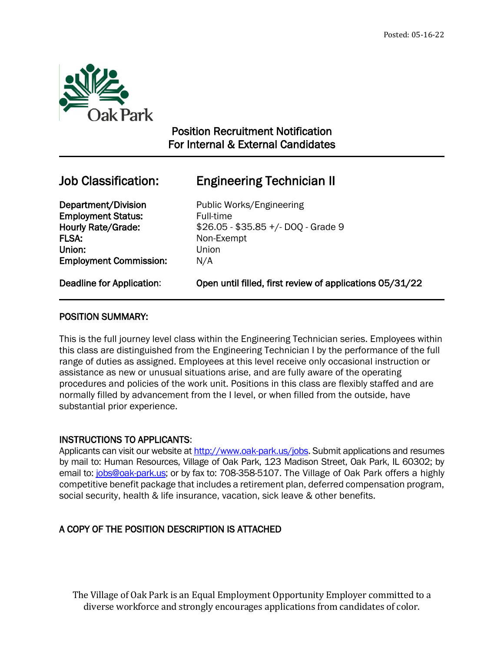

# Position Recruitment Notification For Internal & External Candidates

 $\overline{a}$ 

# Job Classification: Engineering Technician II

Department/Division Public Works/Engineering **Employment Status:** Full-time FLSA: Non-Exempt Union: Union Employment Commission: N/A

Hourly Rate/Grade: \$26.05 - \$35.85 +/- DOQ - Grade 9

Deadline for Application: Open until filled, first review of applications 05/31/22

# POSITION SUMMARY:

This is the full journey level class within the Engineering Technician series. Employees within this class are distinguished from the Engineering Technician I by the performance of the full range of duties as assigned. Employees at this level receive only occasional instruction or assistance as new or unusual situations arise, and are fully aware of the operating procedures and policies of the work unit. Positions in this class are flexibly staffed and are normally filled by advancement from the I level, or when filled from the outside, have substantial prior experience.

# INSTRUCTIONS TO APPLICANTS:

Applicants can visit our website a[t http://www.oak-park.us/j](http://www.oak-park.us/)obs. Submit applications and resumes by mail to: Human Resources, Village of Oak Park, 123 Madison Street, Oak Park, IL 60302; by email to: [jobs@oak-park.us;](mailto:jobs@oak-park.us) or by fax to: 708-358-5107. The Village of Oak Park offers a highly competitive benefit package that includes a retirement plan, deferred compensation program, social security, health & life insurance, vacation, sick leave & other benefits.

# A COPY OF THE POSITION DESCRIPTION IS ATTACHED

The Village of Oak Park is an Equal Employment Opportunity Employer committed to a diverse workforce and strongly encourages applications from candidates of color.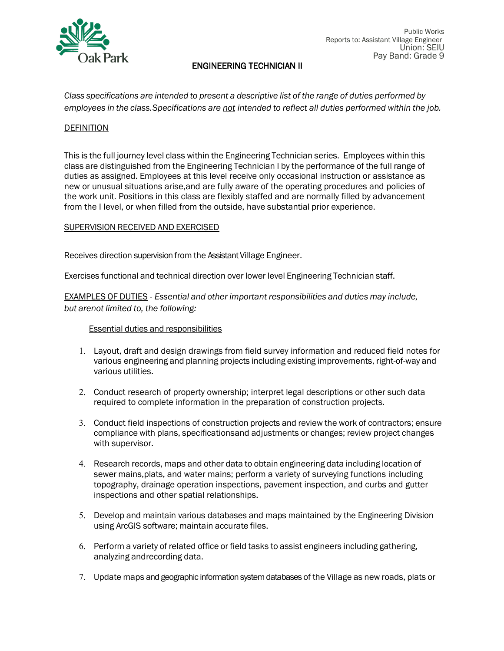

*Class specifications are intended to present a descriptive list of the range of duties performed by employees in the class.Specifications are not intended to reflect all duties performed within the job.*

#### **DEFINITION**

This is the full journey level class within the Engineering Technician series. Employees within this class are distinguished from the Engineering Technician I by the performance of the full range of duties as assigned. Employees at this level receive only occasional instruction or assistance as new or unusual situations arise,and are fully aware of the operating procedures and policies of the work unit. Positions in this class are flexibly staffed and are normally filled by advancement from the I level, or when filled from the outside, have substantial prior experience.

## SUPERVISION RECEIVED AND EXERCISED

Receives direction supervision from the Assistant Village Engineer.

Exercises functional and technical direction over lower level Engineering Technician staff.

EXAMPLES OF DUTIES - *Essential and other important responsibilities and duties may include, but arenot limited to, the following:*

#### Essential duties and responsibilities

- 1. Layout, draft and design drawings from field survey information and reduced field notes for various engineering and planning projects including existing improvements, right-of-way and various utilities.
- 2. Conduct research of property ownership; interpret legal descriptions or other such data required to complete information in the preparation of construction projects.
- 3. Conduct field inspections of construction projects and review the work of contractors; ensure compliance with plans, specificationsand adjustments or changes; review project changes with supervisor.
- 4. Research records, maps and other data to obtain engineering data including location of sewer mains,plats, and water mains; perform a variety of surveying functions including topography, drainage operation inspections, pavement inspection, and curbs and gutter inspections and other spatial relationships.
- 5. Develop and maintain various databases and maps maintained by the Engineering Division using ArcGIS software; maintain accurate files.
- 6. Perform a variety of related office or field tasks to assist engineers including gathering, analyzing andrecording data.
- 7. Update maps and geographic information system databases of the Village as new roads, plats or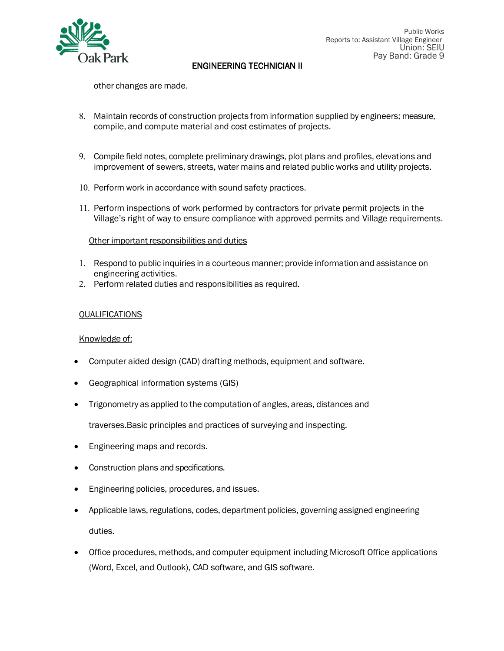

other changes are made.

- 8. Maintain records of construction projects from information supplied by engineers; measure, compile, and compute material and cost estimates of projects.
- 9. Compile field notes, complete preliminary drawings, plot plans and profiles, elevations and improvement of sewers, streets, water mains and related public works and utility projects.
- 10. Perform work in accordance with sound safety practices.
- 11. Perform inspections of work performed by contractors for private permit projects in the Village's right of way to ensure compliance with approved permits and Village requirements.

#### Other important responsibilities and duties

- 1. Respond to public inquiries in a courteous manner; provide information and assistance on engineering activities.
- 2. Perform related duties and responsibilities as required.

## QUALIFICATIONS

#### Knowledge of:

- Computer aided design (CAD) drafting methods, equipment and software.
- Geographical information systems (GIS)
- Trigonometry as applied to the computation of angles, areas, distances and

traverses.Basic principles and practices of surveying and inspecting.

- Engineering maps and records.
- Construction plans and specifications.
- Engineering policies, procedures, and issues.
- Applicable laws, regulations, codes, department policies, governing assigned engineering duties.
- Office procedures, methods, and computer equipment including Microsoft Office applications (Word, Excel, and Outlook), CAD software, and GIS software.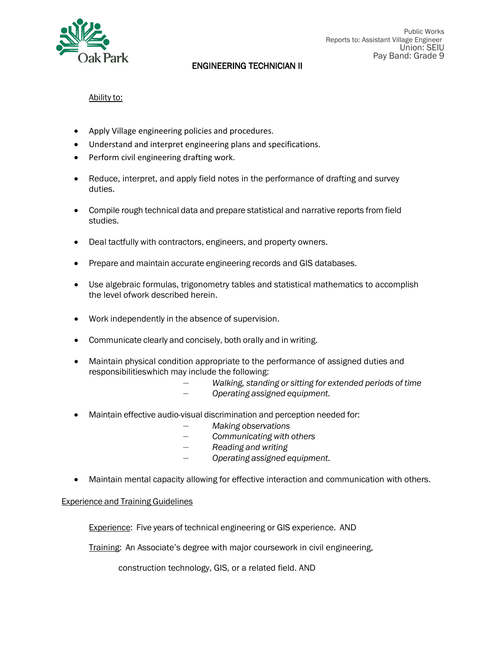

# Ability to:

- Apply Village engineering policies and procedures.
- Understand and interpret engineering plans and specifications.
- Perform civil engineering drafting work.
- Reduce, interpret, and apply field notes in the performance of drafting and survey duties.
- Compile rough technical data and prepare statistical and narrative reports from field studies.
- Deal tactfully with contractors, engineers, and property owners.
- Prepare and maintain accurate engineering records and GIS databases.
- Use algebraic formulas, trigonometry tables and statistical mathematics to accomplish the level ofwork described herein.
- Work independently in the absence of supervision.
- Communicate clearly and concisely, both orally and in writing.
- Maintain physical condition appropriate to the performance of assigned duties and responsibilitieswhich may include the following:
	- *— Walking, standing or sitting for extended periods of time — Operating assigned equipment.*
- Maintain effective audio-visual discrimination and perception needed for:
	- *— Making observations*
	- *— Communicating with others*
	- *— Reading and writing*
	- *— Operating assigned equipment.*
- Maintain mental capacity allowing for effective interaction and communication with others.

#### Experience and Training Guidelines

Experience: Five years of technical engineering or GIS experience. AND

Training: An Associate's degree with major coursework in civil engineering,

construction technology, GIS, or a related field. AND